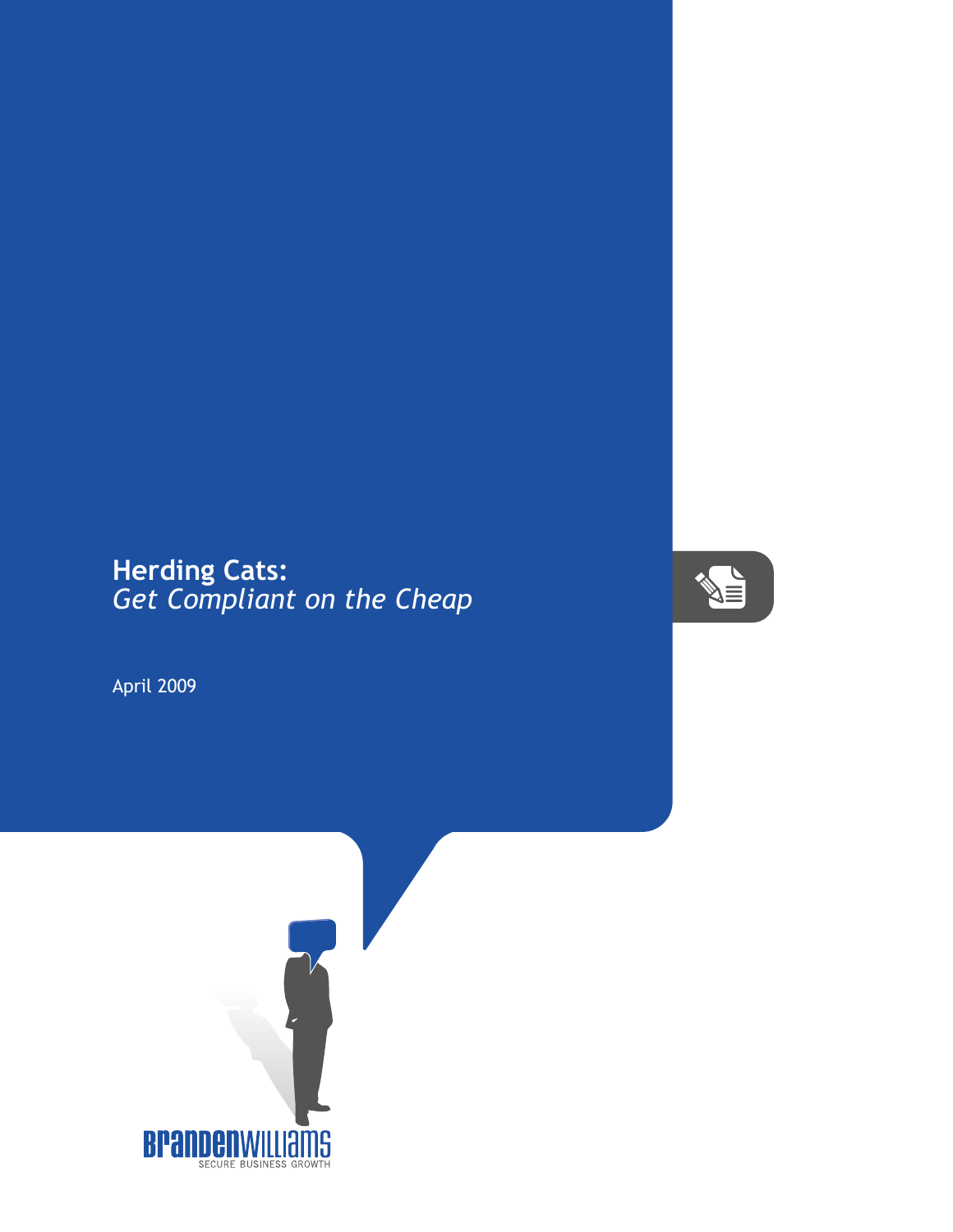## **Herding Cats:** *Get Compliant on the Cheap*



April 2009

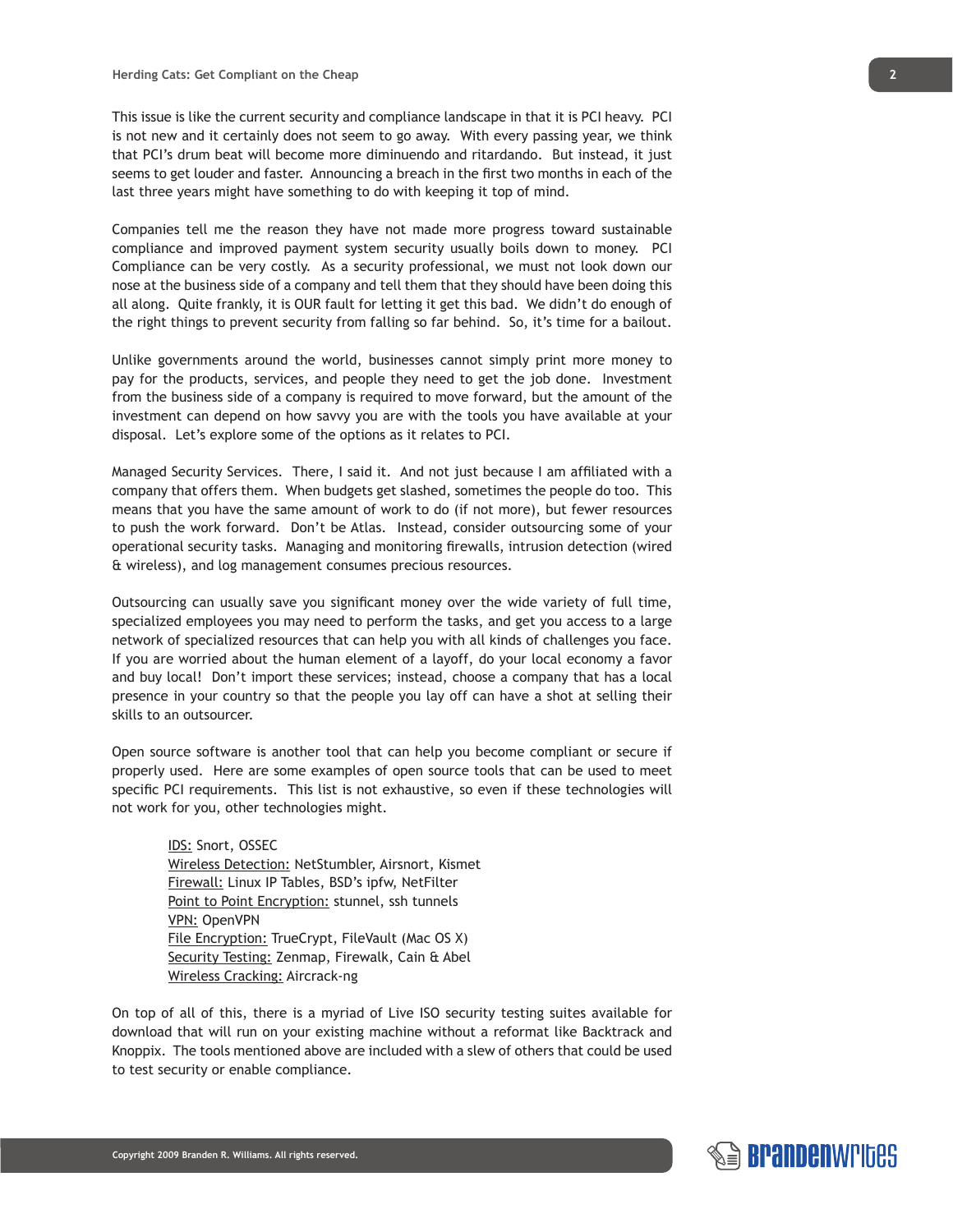This issue is like the current security and compliance landscape in that it is PCI heavy. PCI is not new and it certainly does not seem to go away. With every passing year, we think that PCI's drum beat will become more diminuendo and ritardando. But instead, it just seems to get louder and faster. Announcing a breach in the first two months in each of the last three years might have something to do with keeping it top of mind.

Companies tell me the reason they have not made more progress toward sustainable compliance and improved payment system security usually boils down to money. PCI Compliance can be very costly. As a security professional, we must not look down our nose at the business side of a company and tell them that they should have been doing this all along. Quite frankly, it is OUR fault for letting it get this bad. We didn't do enough of the right things to prevent security from falling so far behind. So, it's time for a bailout.

Unlike governments around the world, businesses cannot simply print more money to pay for the products, services, and people they need to get the job done. Investment from the business side of a company is required to move forward, but the amount of the investment can depend on how savvy you are with the tools you have available at your disposal. Let's explore some of the options as it relates to PCI.

Managed Security Services. There, I said it. And not just because I am affiliated with a company that offers them. When budgets get slashed, sometimes the people do too. This means that you have the same amount of work to do (if not more), but fewer resources to push the work forward. Don't be Atlas. Instead, consider outsourcing some of your operational security tasks. Managing and monitoring firewalls, intrusion detection (wired & wireless), and log management consumes precious resources.

Outsourcing can usually save you significant money over the wide variety of full time, specialized employees you may need to perform the tasks, and get you access to a large network of specialized resources that can help you with all kinds of challenges you face. If you are worried about the human element of a layoff, do your local economy a favor and buy local! Don't import these services; instead, choose a company that has a local presence in your country so that the people you lay off can have a shot at selling their skills to an outsourcer.

Open source software is another tool that can help you become compliant or secure if properly used. Here are some examples of open source tools that can be used to meet specific PCI requirements. This list is not exhaustive, so even if these technologies will not work for you, other technologies might.

IDS: Snort, OSSEC Wireless Detection: NetStumbler, Airsnort, Kismet Firewall: Linux IP Tables, BSD's ipfw, NetFilter Point to Point Encryption: stunnel, ssh tunnels VPN: OpenVPN File Encryption: TrueCrypt, FileVault (Mac OS X) Security Testing: Zenmap, Firewalk, Cain & Abel Wireless Cracking: Aircrack-ng

On top of all of this, there is a myriad of Live ISO security testing suites available for download that will run on your existing machine without a reformat like Backtrack and Knoppix. The tools mentioned above are included with a slew of others that could be used to test security or enable compliance.

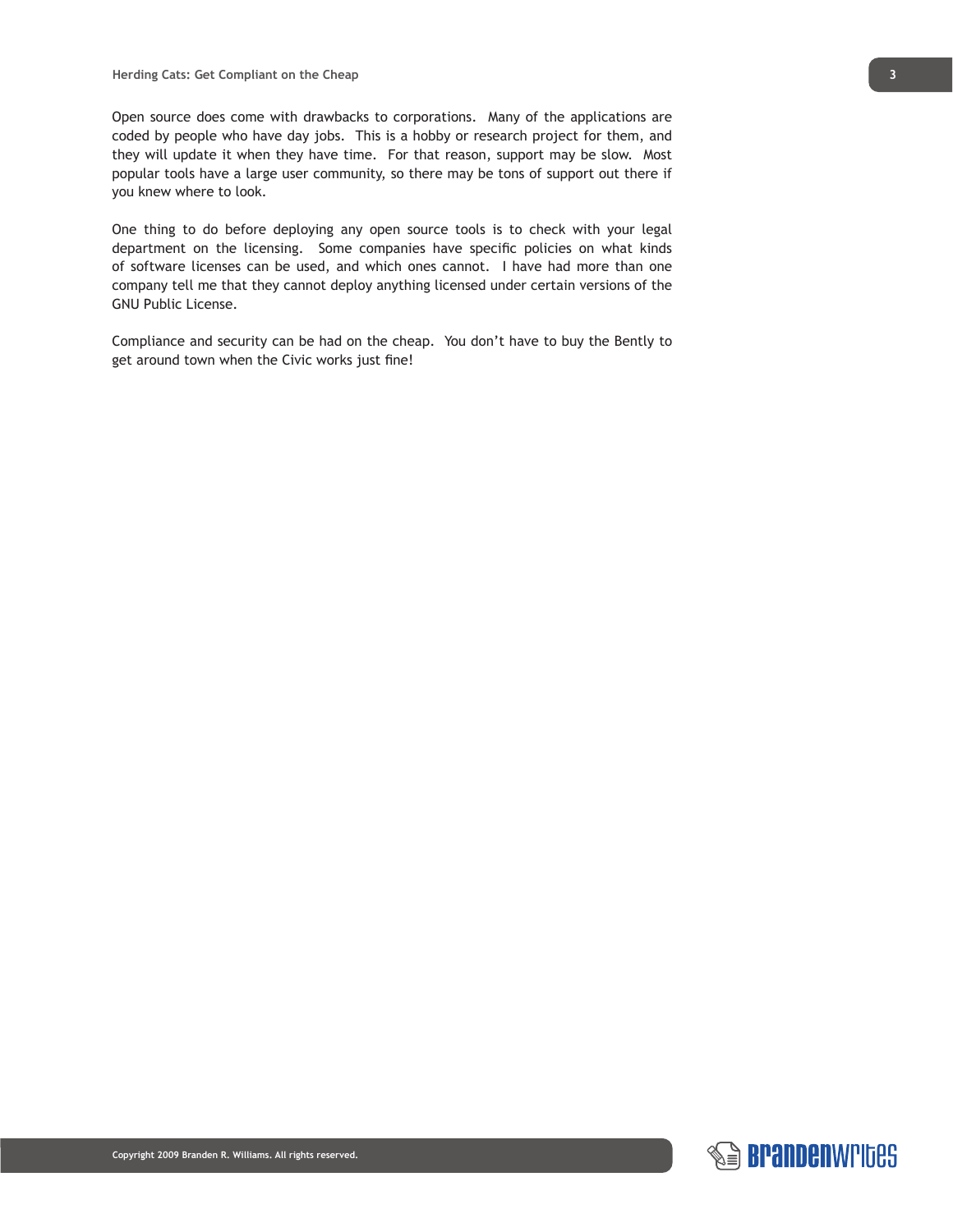Open source does come with drawbacks to corporations. Many of the applications are coded by people who have day jobs. This is a hobby or research project for them, and they will update it when they have time. For that reason, support may be slow. Most popular tools have a large user community, so there may be tons of support out there if you knew where to look.

One thing to do before deploying any open source tools is to check with your legal department on the licensing. Some companies have specific policies on what kinds of software licenses can be used, and which ones cannot. I have had more than one company tell me that they cannot deploy anything licensed under certain versions of the GNU Public License.

Compliance and security can be had on the cheap. You don't have to buy the Bently to get around town when the Civic works just fine!